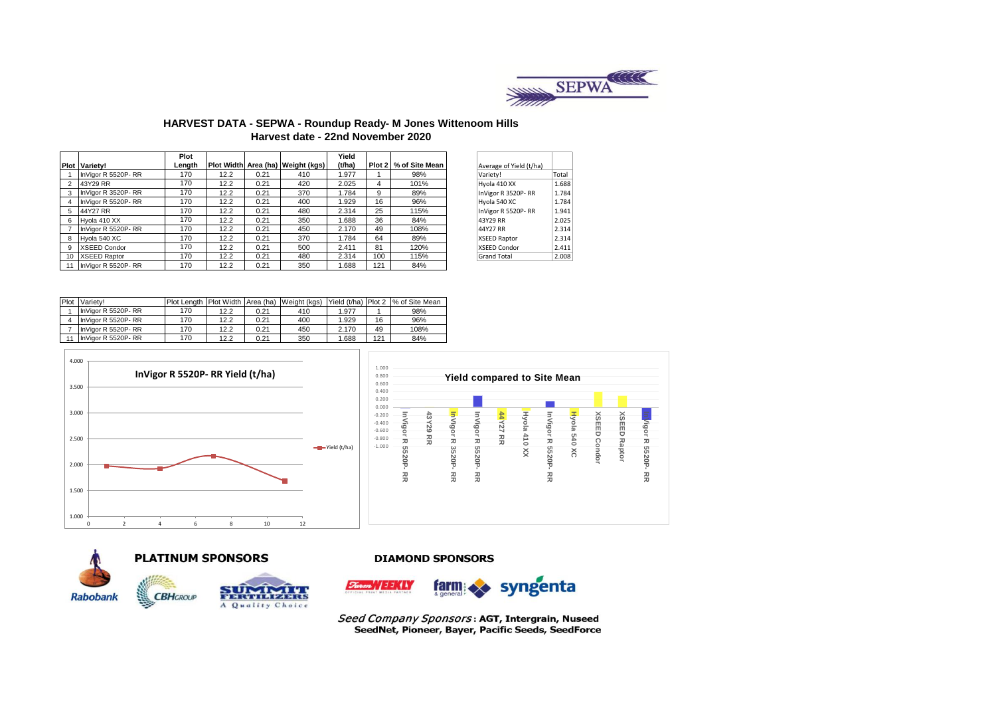

### **HARVEST DATA - SEPWA - Roundup Ready- M Jones Wittenoom Hills Harvest date - 22nd November 2020**

|                 |                      | Plot   |      |      |                                   | Yield  |     |                       |                         |       |
|-----------------|----------------------|--------|------|------|-----------------------------------|--------|-----|-----------------------|-------------------------|-------|
|                 | <b>Plot Variety!</b> | Length |      |      | Plot Width Area (ha) Weight (kgs) | (t/ha) |     | Plot 2 % of Site Mean | Average of Yield (t/ha) |       |
|                 | InVigor R 5520P-RR   | 170    | 12.2 | 0.21 | 410                               | 1.977  |     | 98%                   | Variety!                | Total |
|                 | 43Y29 RR             | 170    | 12.2 | 0.21 | 420                               | 2.025  | 4   | 101%                  | Hyola 410 XX            | 1.688 |
|                 | InVigor R 3520P-RR   | 170    | 12.2 | 0.21 | 370                               | 1.784  | 9   | 89%                   | InVigor R 3520P-RR      | 1.784 |
|                 | InVigor R 5520P-RR   | 170    | 12.2 | 0.21 | 400                               | 1.929  | 16  | 96%                   | Hyola 540 XC            | 1.784 |
|                 | 44Y27 RR             | 170    | 12.2 | 0.21 | 480                               | 2.314  | 25  | 115%                  | InVigor R 5520P-RR      | 1.941 |
| 6               | Hvola 410 XX         | 170    | 12.2 | 0.21 | 350                               | 1.688  | 36  | 84%                   | 43Y29 RR                | 2.025 |
|                 | InVigor R 5520P-RR   | 170    | 12.2 | 0.21 | 450                               | 2.170  | 49  | 108%                  | 44Y27 RR                | 2.314 |
| 8               | Hyola 540 XC         | 170    | 12.2 | 0.21 | 370                               | 1.784  | 64  | 89%                   | XSEED Raptor            | 2.314 |
| 9               | <b>XSEED Condor</b>  | 170    | 12.2 | 0.21 | 500                               | 2.411  | 81  | 120%                  | XSEED Condor            | 2.411 |
| 10 <sup>1</sup> | <b>XSEED Raptor</b>  | 170    | 12.2 | 0.21 | 480                               | 2.314  | 100 | 115%                  | <b>Grand Total</b>      | 2.008 |
|                 | InVigor R 5520P-RR   | 170    | 12.2 | 0.21 | 350                               | .688   | 121 | 84%                   |                         |       |

| Average of Yield (t/ha) |       |
|-------------------------|-------|
| Variety!                | Total |
| Hyola 410 XX            | 1.688 |
| InVigor R 3520P-RR      | 1.784 |
| Hyola 540 XC            | 1.784 |
| InVigor R 5520P-RR      | 1.941 |
| 43Y29 RR                | 2.025 |
| 44Y27 RR                | 2.314 |
| <b>XSEED Raptor</b>     | 2.314 |
| <b>XSEED Condor</b>     | 2.411 |
| <b>Grand Total</b>      | 2.008 |
|                         |       |

| Plot | Variety!           | <b>Plot Lenath</b> |      |      | Plot Width Area (ha) Weight (kgs) | Yield (t/ha) Plot 2 |     | % of Site Mean |
|------|--------------------|--------------------|------|------|-----------------------------------|---------------------|-----|----------------|
|      | InVigor R 5520P-RR | 170                | 12.2 | 0.21 | 410                               | 1.977               |     | 98%            |
|      | InVigor R 5520P-RR | 170                | 12.2 | 0.21 | 400                               | 1.929               | 16  | 96%            |
|      | InVigor R 5520P-RR | 170                | 12.2 | 0.21 | 450                               | 2.170               | 49  | 108%           |
| 11   | InVigor R 5520P-RR | 170                | 12.2 | 0.21 | 350                               | 1.688               | 121 | 84%            |









#### **DIAMOND SPONSORS**



Seed Company Sponsors: AGT, Intergrain, Nuseed SeedNet, Pioneer, Bayer, Pacific Seeds, SeedForce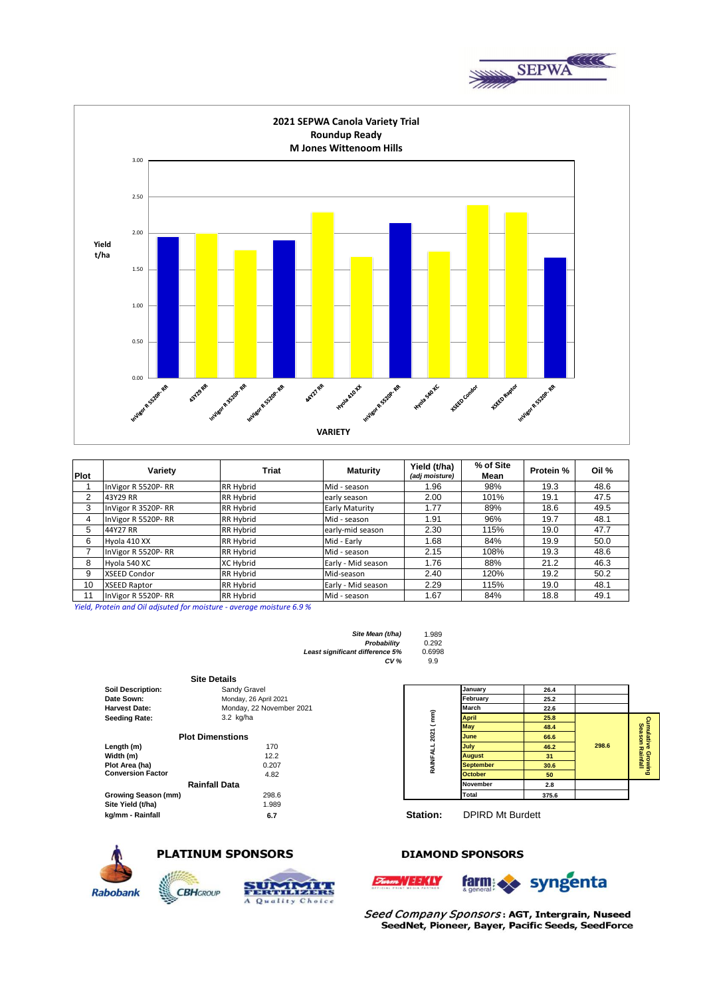



| Plot | Variety             | Triat            | <b>Maturity</b>    | Yield (t/ha)<br>(adj moisture) | % of Site<br>Mean | Protein % | Oil % |
|------|---------------------|------------------|--------------------|--------------------------------|-------------------|-----------|-------|
|      | InVigor R 5520P-RR  | <b>RR Hybrid</b> | Mid - season       | 1.96                           | 98%               | 19.3      | 48.6  |
| 2    | 43Y29 RR            | <b>RR Hybrid</b> | early season       | 2.00                           | 101%              | 19.1      | 47.5  |
| 3    | InVigor R 3520P-RR  | <b>RR Hybrid</b> | Early Maturity     | 1.77                           | 89%               | 18.6      | 49.5  |
| 4    | InVigor R 5520P-RR  | <b>RR Hybrid</b> | Mid - season       | 1.91                           | 96%               | 19.7      | 48.1  |
| 5    | 44Y27 RR            | <b>RR Hybrid</b> | early-mid season   | 2.30                           | 115%              | 19.0      | 47.7  |
| 6    | Hyola 410 XX        | <b>RR Hybrid</b> | Mid - Early        | 1.68                           | 84%               | 19.9      | 50.0  |
|      | InVigor R 5520P-RR  | <b>RR Hybrid</b> | Mid - season       | 2.15                           | 108%              | 19.3      | 48.6  |
| 8    | Hyola 540 XC        | <b>XC Hybrid</b> | Early - Mid season | 1.76                           | 88%               | 21.2      | 46.3  |
| 9    | <b>XSEED Condor</b> | <b>RR Hybrid</b> | Mid-season         | 2.40                           | 120%              | 19.2      | 50.2  |
| 10   | <b>XSEED Raptor</b> | <b>RR Hybrid</b> | Early - Mid season | 2.29                           | 115%              | 19.0      | 48.1  |
| 11   | InVigor R 5520P-RR  | <b>RR Hybrid</b> | Mid - season       | 1.67                           | 84%               | 18.8      | 49.1  |

*Yield, Protein and Oil adjsuted for moisture - average moisture 6.9 %*

| 1.989  |
|--------|
| 0.292  |
| 0.6998 |
| 9.9    |
|        |

|                          | <b>Site Details</b>      |           |                         |       |       |                        |
|--------------------------|--------------------------|-----------|-------------------------|-------|-------|------------------------|
| <b>Soil Description:</b> | Sandy Gravel             |           | January                 | 26.4  |       |                        |
| Date Sown:               | Monday, 26 April 2021    |           | February                | 25.2  |       |                        |
| <b>Harvest Date:</b>     | Monday, 22 November 2021 |           | March                   | 22.6  |       |                        |
| <b>Seeding Rate:</b>     | $3.2$ kg/ha              |           | <b>April</b>            | 25.8  |       | Cumulativ<br>Season    |
|                          |                          | 2021 (mm) | <b>May</b>              | 48.4  |       |                        |
|                          | <b>Plot Dimenstions</b>  |           | June                    | 66.6  |       |                        |
| Length (m)               | 170                      |           | July                    | 46.2  | 298.6 |                        |
| Width (m)                | 12.2                     |           | <b>August</b>           | 31    |       | re Growing<br>Rainfall |
| Plot Area (ha)           | 0.207                    | RAINFA    | <b>September</b>        | 30.6  |       |                        |
| <b>Conversion Factor</b> | 4.82                     |           | <b>October</b>          | 50    |       |                        |
|                          | <b>Rainfall Data</b>     |           | <b>November</b>         | 2.8   |       |                        |
| Growing Season (mm)      | 298.6                    |           | Total                   | 375.6 |       |                        |
| Site Yield (t/ha)        | 1.989                    |           |                         |       |       |                        |
| kg/mm - Rainfall         | 6.7                      | Station:  | <b>DPIRD Mt Burdett</b> |       |       |                        |

 $5$ 



#### **PLATINUM SPONSORS**

**CBH**GROUP



### **DIAMOND SPONSORS**



Seed Company Sponsors: AGT, Intergrain, Nuseed SeedNet, Pioneer, Bayer, Pacific Seeds, SeedForce